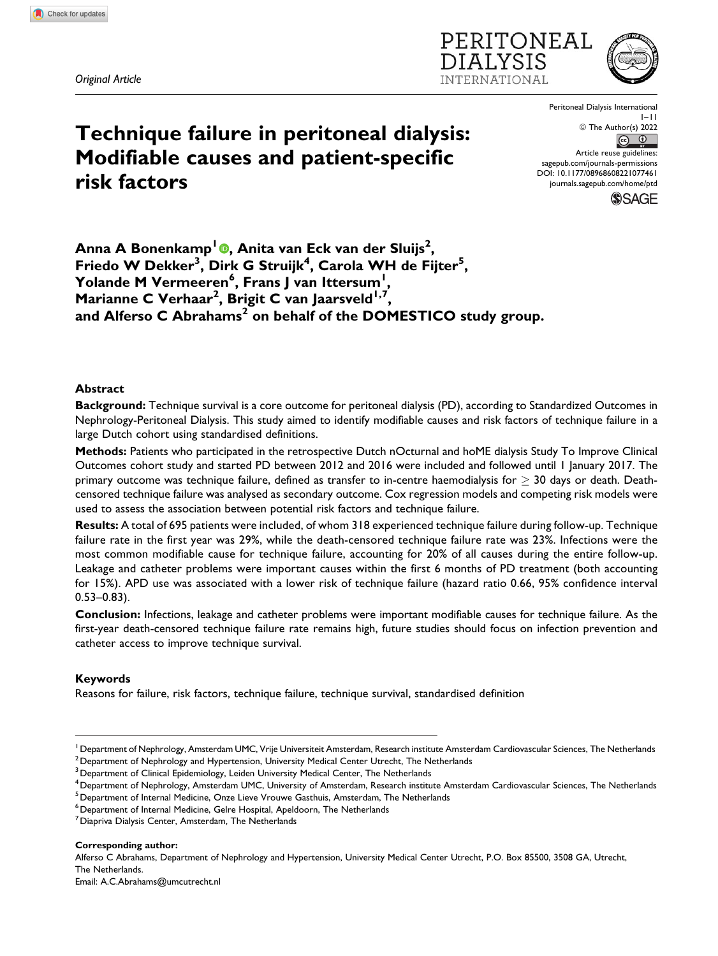*Original Article*





**Technique failure in peritoneal dialysis: Modifiable causes and patient-specific risk factors**

Peritoneal Dialysis International 1–11 © The Author(s) 2022  $\odot$ Article reuse guidelines: [sagepub.com/journals-permissions](https://sagepub.com/journals-permissions) [DOI: 10.1177/08968608221077461](https://doi.org/10.1177/08968608221077461)

[journals.sagepub.com/home/ptd](http://journals.sagepub.com/home/ptd)



**Anna A Bonenkamp<sup>1</sup> , Anita van Eck van der Sluijs<sup>2</sup> , Friedo W Dekker<sup>3</sup> , Dirk G Struijk<sup>4</sup> , Carola WH de Fijter<sup>5</sup> , Yolande M Vermeeren<sup>6</sup> , Frans J van Ittersum<sup>1</sup> , Marianne C Verhaar<sup>2</sup> , Brigit C van Jaarsveld1,7, and Alferso C Abrahams<sup>2</sup> on behalf of the DOMESTICO study group.**

# **Abstract**

**Background:** Technique survival is a core outcome for peritoneal dialysis (PD), according to Standardized Outcomes in Nephrology-Peritoneal Dialysis. This study aimed to identify modifiable causes and risk factors of technique failure in a large Dutch cohort using standardised definitions.

**Methods:** Patients who participated in the retrospective Dutch nOcturnal and hoME dialysis Study To Improve Clinical Outcomes cohort study and started PD between 2012 and 2016 were included and followed until 1 January 2017. The primary outcome was technique failure, defined as transfer to in-centre haemodialysis for  $\geq$  30 days or death. Deathcensored technique failure was analysed as secondary outcome. Cox regression models and competing risk models were used to assess the association between potential risk factors and technique failure.

**Results:** A total of 695 patients were included, of whom 318 experienced technique failure during follow-up. Technique failure rate in the first year was 29%, while the death-censored technique failure rate was 23%. Infections were the most common modifiable cause for technique failure, accounting for 20% of all causes during the entire follow-up. Leakage and catheter problems were important causes within the first 6 months of PD treatment (both accounting for 15%). APD use was associated with a lower risk of technique failure (hazard ratio 0.66, 95% confidence interval 0.53–0.83).

**Conclusion:** Infections, leakage and catheter problems were important modifiable causes for technique failure. As the first-year death-censored technique failure rate remains high, future studies should focus on infection prevention and catheter access to improve technique survival.

### **Keywords**

Reasons for failure, risk factors, technique failure, technique survival, standardised definition

**Corresponding author:**

Alferso C Abrahams, Department of Nephrology and Hypertension, University Medical Center Utrecht, P.O. Box 85500, 3508 GA, Utrecht, The Netherlands.

Email: [A.C.Abrahams@umcutrecht.nl](mailto:A.C.Abrahams@umcutrecht.nl)

<sup>&</sup>lt;sup>1</sup> Department of Nephrology, Amsterdam UMC, Vrije Universiteit Amsterdam, Research institute Amsterdam Cardiovascular Sciences, The Netherlands

 $^{\rm 2}$ Department of Nephrology and Hypertension, University Medical Center Utrecht, The Netherlands

<sup>&</sup>lt;sup>3</sup> Department of Clinical Epidemiology, Leiden University Medical Center, The Netherlands

<sup>4</sup>Department of Nephrology, Amsterdam UMC, University of Amsterdam, Research institute Amsterdam Cardiovascular Sciences, The Netherlands

<sup>&</sup>lt;sup>5</sup> Department of Internal Medicine, Onze Lieve Vrouwe Gasthuis, Amsterdam, The Netherlands

 $^6$ Department of Internal Medicine, Gelre Hospital, Apeldoorn, The Netherlands

<sup>7</sup>Diapriva Dialysis Center, Amsterdam, The Netherlands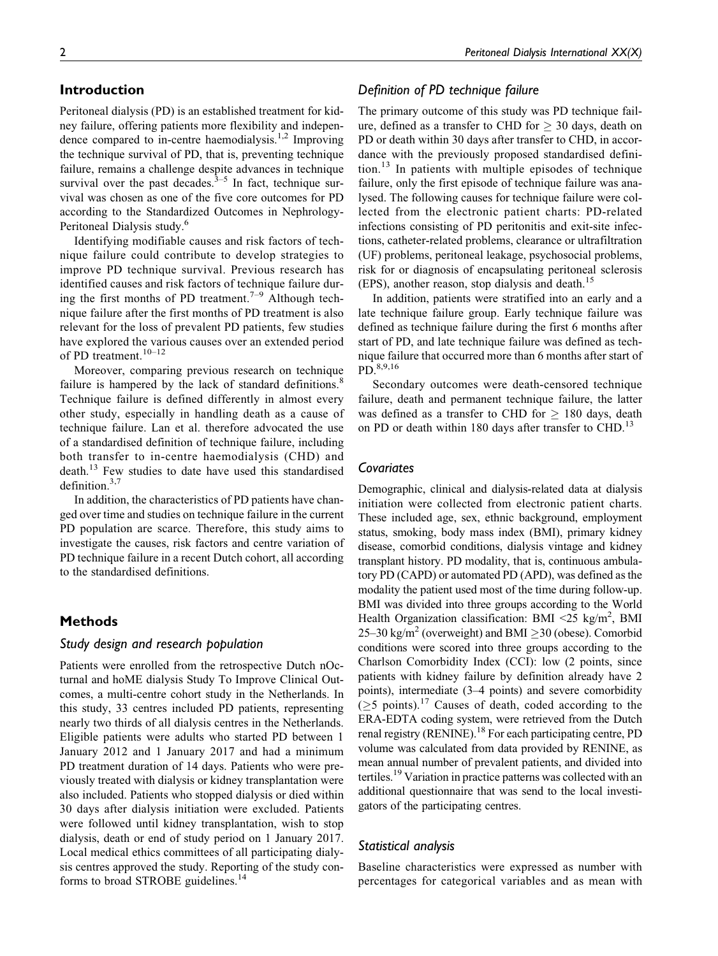# **Introduction**

Peritoneal dialysis (PD) is an established treatment for kidney failure, offering patients more flexibility and independence compared to in-centre haemodialysis.<sup>1,2</sup> Improving the technique survival of PD, that is, preventing technique failure, remains a challenge despite advances in technique survival over the past decades. $3-5$  In fact, technique survival was chosen as one of the five core outcomes for PD according to the Standardized Outcomes in Nephrology-Peritoneal Dialysis study.6

Identifying modifiable causes and risk factors of technique failure could contribute to develop strategies to improve PD technique survival. Previous research has identified causes and risk factors of technique failure during the first months of PD treatment.<sup>7–9</sup> Although technique failure after the first months of PD treatment is also relevant for the loss of prevalent PD patients, few studies have explored the various causes over an extended period of PD treatment.<sup>10–12</sup>

Moreover, comparing previous research on technique failure is hampered by the lack of standard definitions.<sup>8</sup> Technique failure is defined differently in almost every other study, especially in handling death as a cause of technique failure. Lan et al. therefore advocated the use of a standardised definition of technique failure, including both transfer to in-centre haemodialysis (CHD) and death.<sup>13</sup> Few studies to date have used this standardised definition. $3,7$ 

In addition, the characteristics of PD patients have changed over time and studies on technique failure in the current PD population are scarce. Therefore, this study aims to investigate the causes, risk factors and centre variation of PD technique failure in a recent Dutch cohort, all according to the standardised definitions.

# **Methods**

# *Study design and research population*

Patients were enrolled from the retrospective Dutch nOcturnal and hoME dialysis Study To Improve Clinical Outcomes, a multi-centre cohort study in the Netherlands. In this study, 33 centres included PD patients, representing nearly two thirds of all dialysis centres in the Netherlands. Eligible patients were adults who started PD between 1 January 2012 and 1 January 2017 and had a minimum PD treatment duration of 14 days. Patients who were previously treated with dialysis or kidney transplantation were also included. Patients who stopped dialysis or died within 30 days after dialysis initiation were excluded. Patients were followed until kidney transplantation, wish to stop dialysis, death or end of study period on 1 January 2017. Local medical ethics committees of all participating dialysis centres approved the study. Reporting of the study conforms to broad STROBE guidelines.<sup>14</sup>

# 2 *Peritoneal Dialysis International XX(X)*

# *Definition of PD technique failure*

The primary outcome of this study was PD technique failure, defined as a transfer to CHD for  $\geq 30$  days, death on PD or death within 30 days after transfer to CHD, in accordance with the previously proposed standardised defini- $\mu$ <sub>13</sub> In patients with multiple episodes of technique failure, only the first episode of technique failure was analysed. The following causes for technique failure were collected from the electronic patient charts: PD-related infections consisting of PD peritonitis and exit-site infections, catheter-related problems, clearance or ultrafiltration (UF) problems, peritoneal leakage, psychosocial problems, risk for or diagnosis of encapsulating peritoneal sclerosis  $(EPS)$ , another reason, stop dialysis and death.<sup>15</sup>

In addition, patients were stratified into an early and a late technique failure group. Early technique failure was defined as technique failure during the first 6 months after start of PD, and late technique failure was defined as technique failure that occurred more than 6 months after start of PD.8,9,16

Secondary outcomes were death-censored technique failure, death and permanent technique failure, the latter was defined as a transfer to CHD for  $\geq$  180 days, death on PD or death within 180 days after transfer to CHD.<sup>13</sup>

# *Covariates*

Demographic, clinical and dialysis-related data at dialysis initiation were collected from electronic patient charts. These included age, sex, ethnic background, employment status, smoking, body mass index (BMI), primary kidney disease, comorbid conditions, dialysis vintage and kidney transplant history. PD modality, that is, continuous ambulatory PD (CAPD) or automated PD (APD), was defined as the modality the patient used most of the time during follow-up. BMI was divided into three groups according to the World Health Organization classification: BMI <25 kg/m<sup>2</sup>, BMI 25–30 kg/m<sup>2</sup> (overweight) and BMI  $\geq$ 30 (obese). Comorbid conditions were scored into three groups according to the Charlson Comorbidity Index (CCI): low (2 points, since patients with kidney failure by definition already have 2 points), intermediate (3–4 points) and severe comorbidity  $(\geq 5 \text{ points})$ .<sup>17</sup> Causes of death, coded according to the ERA-EDTA coding system, were retrieved from the Dutch renal registry (RENINE).<sup>18</sup> For each participating centre, PD volume was calculated from data provided by RENINE, as mean annual number of prevalent patients, and divided into tertiles.<sup>19</sup> Variation in practice patterns was collected with an additional questionnaire that was send to the local investigators of the participating centres.

### *Statistical analysis*

Baseline characteristics were expressed as number with percentages for categorical variables and as mean with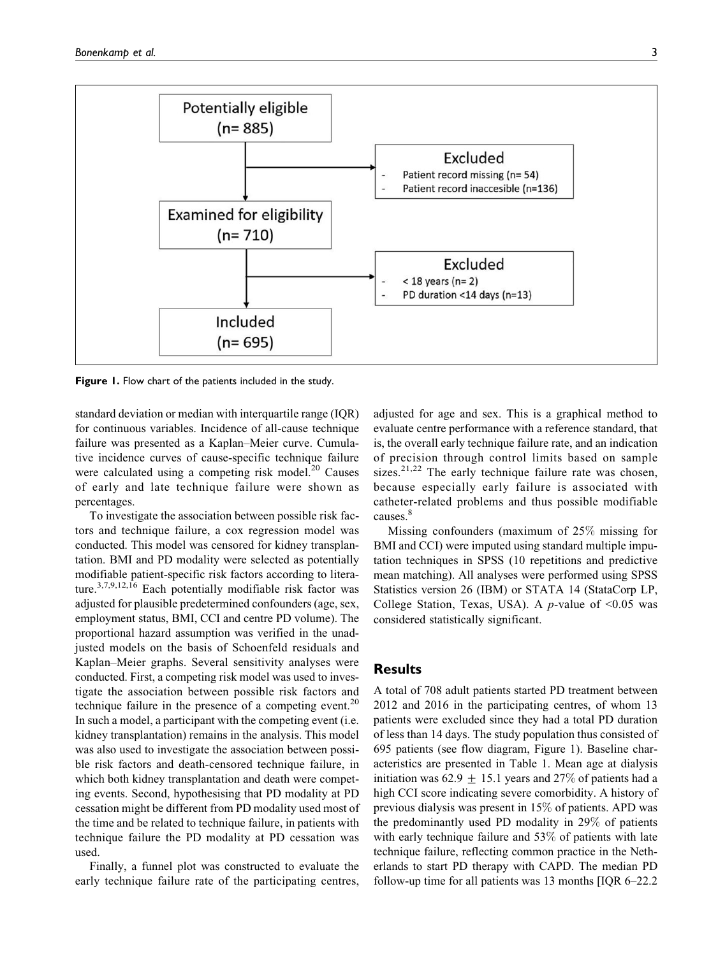

**Figure 1.** Flow chart of the patients included in the study.

standard deviation or median with interquartile range (IQR) for continuous variables. Incidence of all-cause technique failure was presented as a Kaplan–Meier curve. Cumulative incidence curves of cause-specific technique failure were calculated using a competing risk model. $^{20}$  Causes of early and late technique failure were shown as percentages.

To investigate the association between possible risk factors and technique failure, a cox regression model was conducted. This model was censored for kidney transplantation. BMI and PD modality were selected as potentially modifiable patient-specific risk factors according to literature.<sup>3,7,9,12,16</sup> Each potentially modifiable risk factor was adjusted for plausible predetermined confounders (age, sex, employment status, BMI, CCI and centre PD volume). The proportional hazard assumption was verified in the unadjusted models on the basis of Schoenfeld residuals and Kaplan–Meier graphs. Several sensitivity analyses were conducted. First, a competing risk model was used to investigate the association between possible risk factors and technique failure in the presence of a competing event.<sup>20</sup> In such a model, a participant with the competing event (i.e. kidney transplantation) remains in the analysis. This model was also used to investigate the association between possible risk factors and death-censored technique failure, in which both kidney transplantation and death were competing events. Second, hypothesising that PD modality at PD cessation might be different from PD modality used most of the time and be related to technique failure, in patients with technique failure the PD modality at PD cessation was used.

Finally, a funnel plot was constructed to evaluate the early technique failure rate of the participating centres,

adjusted for age and sex. This is a graphical method to evaluate centre performance with a reference standard, that is, the overall early technique failure rate, and an indication of precision through control limits based on sample sizes.<sup>21,22</sup> The early technique failure rate was chosen, because especially early failure is associated with catheter-related problems and thus possible modifiable causes.<sup>8</sup>

Missing confounders (maximum of 25% missing for BMI and CCI) were imputed using standard multiple imputation techniques in SPSS (10 repetitions and predictive mean matching). All analyses were performed using SPSS Statistics version 26 (IBM) or STATA 14 (StataCorp LP, College Station, Texas, USA). A *p*-value of  $\leq 0.05$  was considered statistically significant.

### **Results**

A total of 708 adult patients started PD treatment between 2012 and 2016 in the participating centres, of whom 13 patients were excluded since they had a total PD duration of less than 14 days. The study population thus consisted of 695 patients (see flow diagram, Figure 1). Baseline characteristics are presented in Table 1. Mean age at dialysis initiation was 62.9  $\pm$  15.1 years and 27% of patients had a high CCI score indicating severe comorbidity. A history of previous dialysis was present in 15% of patients. APD was the predominantly used PD modality in 29% of patients with early technique failure and 53% of patients with late technique failure, reflecting common practice in the Netherlands to start PD therapy with CAPD. The median PD follow-up time for all patients was 13 months [IQR 6–22.2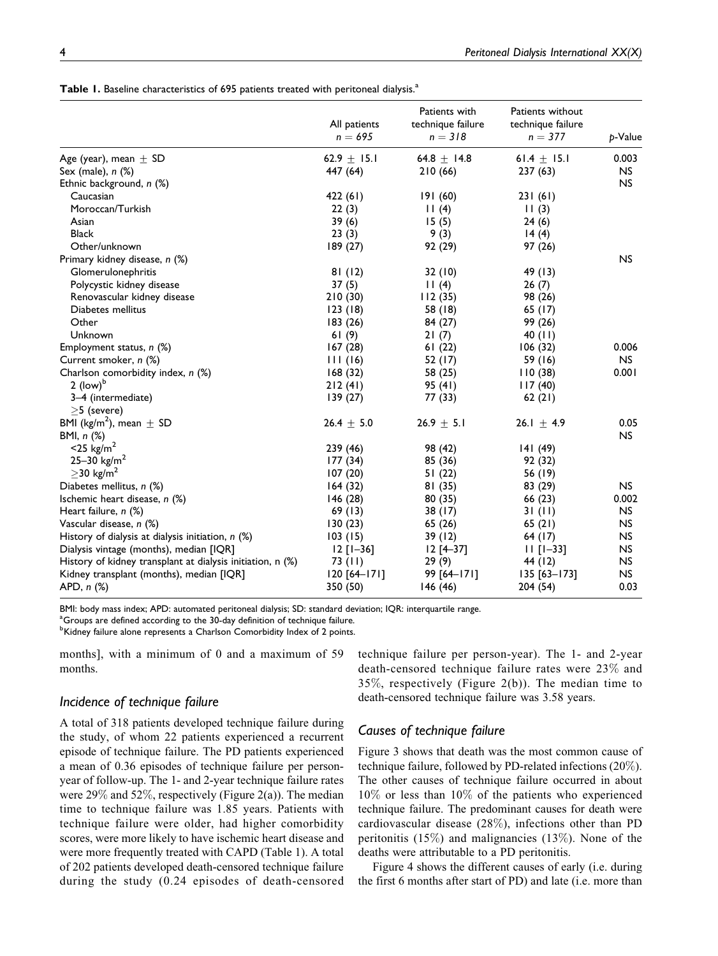|  |  | Table 1. Baseline characteristics of 695 patients treated with peritoneal dialysis. <sup>a</sup> |  |  |  |  |  |  |
|--|--|--------------------------------------------------------------------------------------------------|--|--|--|--|--|--|
|--|--|--------------------------------------------------------------------------------------------------|--|--|--|--|--|--|

|                                                            | All patients<br>$n = 695$ | Patients with<br>technique failure<br>$n = 318$ | Patients without<br>technique failure<br>$n = 377$ | p-Value   |
|------------------------------------------------------------|---------------------------|-------------------------------------------------|----------------------------------------------------|-----------|
| Age (year), mean $\pm$ SD                                  | 62.9 $\pm$ 15.1           | 64.8 $\pm$ 14.8                                 | 61.4 $\pm$ 15.1                                    | 0.003     |
| Sex (male), $n$ $(\%)$                                     | 447 (64)                  | 210(66)                                         | 237(63)                                            | <b>NS</b> |
| Ethnic background, n (%)                                   |                           |                                                 |                                                    | <b>NS</b> |
| Caucasian                                                  | 422 (61)                  | 191(60)                                         | 231(61)                                            |           |
| Moroccan/Turkish                                           | 22(3)                     | 11(4)                                           | 11(3)                                              |           |
| Asian                                                      | 39(6)                     | 15(5)                                           | 24(6)                                              |           |
| <b>Black</b>                                               | 23(3)                     | 9(3)                                            | 14(4)                                              |           |
| Other/unknown                                              | 189 (27)                  | 92 (29)                                         | 97 (26)                                            |           |
| Primary kidney disease, n (%)                              |                           |                                                 |                                                    | <b>NS</b> |
| Glomerulonephritis                                         | 81(12)                    | 32 (10)                                         | 49 (13)                                            |           |
| Polycystic kidney disease                                  | 37(5)                     | 11(4)                                           | 26(7)                                              |           |
| Renovascular kidney disease                                | 210(30)                   | 112(35)                                         | 98 (26)                                            |           |
| Diabetes mellitus                                          | 123(18)                   | 58 (18)                                         | 65 (17)                                            |           |
| Other                                                      | 183 (26)                  | 84 (27)                                         | 99 (26)                                            |           |
| Unknown                                                    | 61(9)                     | 21(7)                                           | 40 (11)                                            |           |
| Employment status, n (%)                                   | 167(28)                   | 61(22)                                          | 106(32)                                            | 0.006     |
| Current smoker, n (%)                                      | 111(16)                   | 52 (17)                                         | 59 (16)                                            | <b>NS</b> |
| Charlson comorbidity index, n (%)                          | 168(32)                   | 58 (25)                                         | 110(38)                                            | 0.001     |
| $2$ (low) <sup>b</sup>                                     | 212(41)                   | 95 (41)                                         | 117(40)                                            |           |
| 3-4 (intermediate)                                         | 139 (27)                  | 77 (33)                                         | 62(21)                                             |           |
| $>5$ (severe)                                              |                           |                                                 |                                                    |           |
| BMI (kg/m <sup>2</sup> ), mean $\pm$ SD                    | 26.4 $\pm$ 5.0            | $26.9 \pm 5.1$                                  | 26.1 $\pm$ 4.9                                     | 0.05      |
| BMI, n (%)                                                 |                           |                                                 |                                                    | NS        |
| $<$ 25 kg/m <sup>2</sup>                                   | 239 (46)                  | 98 (42)                                         | 141 (49)                                           |           |
| 25-30 $\text{kg/m}^2$                                      | 177(34)                   | 85 (36)                                         | 92 (32)                                            |           |
| $\geq$ 30 kg/m <sup>2</sup>                                | 107(20)                   | 51(22)                                          | 56 (19)                                            |           |
| Diabetes mellitus, n (%)                                   | 164(32)                   | 81(35)                                          | 83 (29)                                            | <b>NS</b> |
| Ischemic heart disease, n (%)                              | 146 (28)                  | 80(35)                                          | 66 (23)                                            | 0.002     |
| Heart failure, n (%)                                       | 69(13)                    | 38(17)                                          | 31(11)                                             | <b>NS</b> |
| Vascular disease, n (%)                                    | 130(23)                   | 65 (26)                                         | 65(21)                                             | NS.       |
| History of dialysis at dialysis initiation, $n$ (%)        | 103(15)                   | 39(12)                                          | 64 (17)                                            | <b>NS</b> |
| Dialysis vintage (months), median [IQR]                    | $12$ [1-36]               | $12$ [4-37]                                     | $11$ [1-33]                                        | <b>NS</b> |
| History of kidney transplant at dialysis initiation, n (%) | 73 (II)                   | 29(9)                                           | 44 (12)                                            | NS.       |
| Kidney transplant (months), median [IQR]                   | $120 [64 - 171]$          | 99 [64-171]                                     | $135 [63 - 173]$                                   | NS.       |
| APD, n (%)                                                 | 350 (50)                  | 146 (46)                                        | 204 (54)                                           | 0.03      |

BMI: body mass index; APD: automated peritoneal dialysis; SD: standard deviation; IQR: interquartile range.

 $^{\rm a}$ Groups are defined according to the 30-day definition of technique failure.

<sup>b</sup>Kidney failure alone represents a Charlson Comorbidity Index of 2 points.

months], with a minimum of 0 and a maximum of 59 months.

### *Incidence of technique failure*

A total of 318 patients developed technique failure during the study, of whom 22 patients experienced a recurrent episode of technique failure. The PD patients experienced a mean of 0.36 episodes of technique failure per personyear of follow-up. The 1- and 2-year technique failure rates were 29% and 52%, respectively (Figure 2(a)). The median time to technique failure was 1.85 years. Patients with technique failure were older, had higher comorbidity scores, were more likely to have ischemic heart disease and were more frequently treated with CAPD (Table 1). A total of 202 patients developed death-censored technique failure during the study (0.24 episodes of death-censored technique failure per person-year). The 1- and 2-year death-censored technique failure rates were 23% and 35%, respectively (Figure 2(b)). The median time to death-censored technique failure was 3.58 years.

# *Causes of technique failure*

Figure 3 shows that death was the most common cause of technique failure, followed by PD-related infections (20%). The other causes of technique failure occurred in about 10% or less than 10% of the patients who experienced technique failure. The predominant causes for death were cardiovascular disease (28%), infections other than PD peritonitis (15%) and malignancies (13%). None of the deaths were attributable to a PD peritonitis.

Figure 4 shows the different causes of early (i.e. during the first 6 months after start of PD) and late (i.e. more than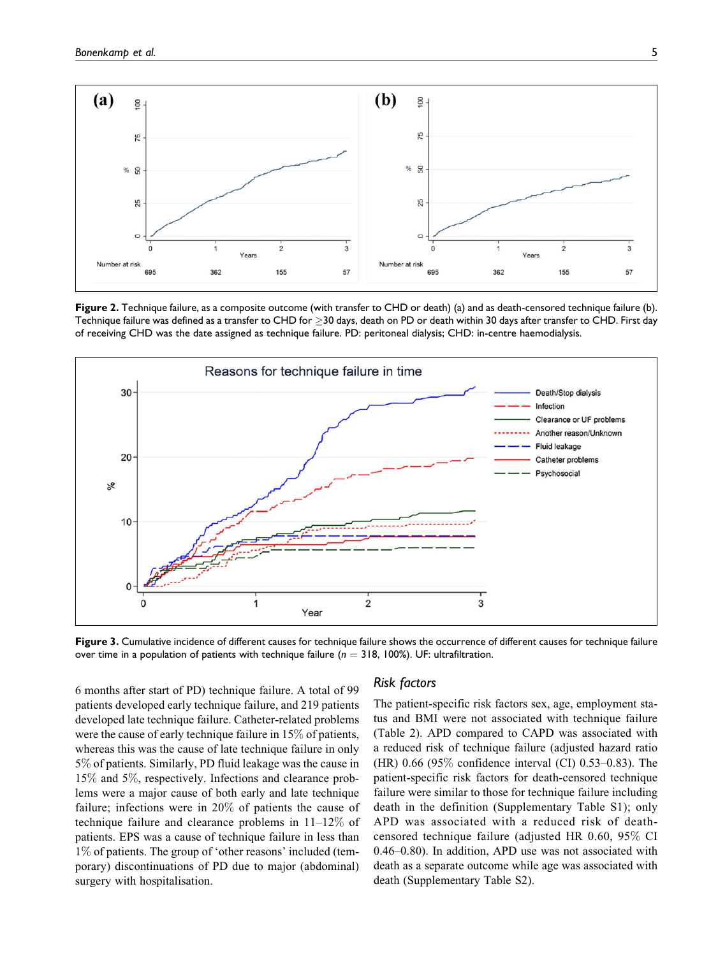

**Figure 2.** Technique failure, as a composite outcome (with transfer to CHD or death) (a) and as death-censored technique failure (b). Technique failure was defined as a transfer to CHD for  $\geq$ 30 days, death on PD or death within 30 days after transfer to CHD. First day of receiving CHD was the date assigned as technique failure. PD: peritoneal dialysis; CHD: in-centre haemodialysis.



**Figure 3.** Cumulative incidence of different causes for technique failure shows the occurrence of different causes for technique failure over time in a population of patients with technique failure ( $n = 318$ , 100%). UF: ultrafiltration.

6 months after start of PD) technique failure. A total of 99 patients developed early technique failure, and 219 patients developed late technique failure. Catheter-related problems were the cause of early technique failure in 15% of patients, whereas this was the cause of late technique failure in only 5% of patients. Similarly, PD fluid leakage was the cause in 15% and 5%, respectively. Infections and clearance problems were a major cause of both early and late technique failure; infections were in 20% of patients the cause of technique failure and clearance problems in 11–12% of patients. EPS was a cause of technique failure in less than 1% of patients. The group of 'other reasons' included (temporary) discontinuations of PD due to major (abdominal) surgery with hospitalisation.

#### *Risk factors*

The patient-specific risk factors sex, age, employment status and BMI were not associated with technique failure (Table 2). APD compared to CAPD was associated with a reduced risk of technique failure (adjusted hazard ratio (HR) 0.66 (95% confidence interval (CI) 0.53–0.83). The patient-specific risk factors for death-censored technique failure were similar to those for technique failure including death in the definition (Supplementary Table S1); only APD was associated with a reduced risk of deathcensored technique failure (adjusted HR 0.60, 95% CI 0.46–0.80). In addition, APD use was not associated with death as a separate outcome while age was associated with death (Supplementary Table S2).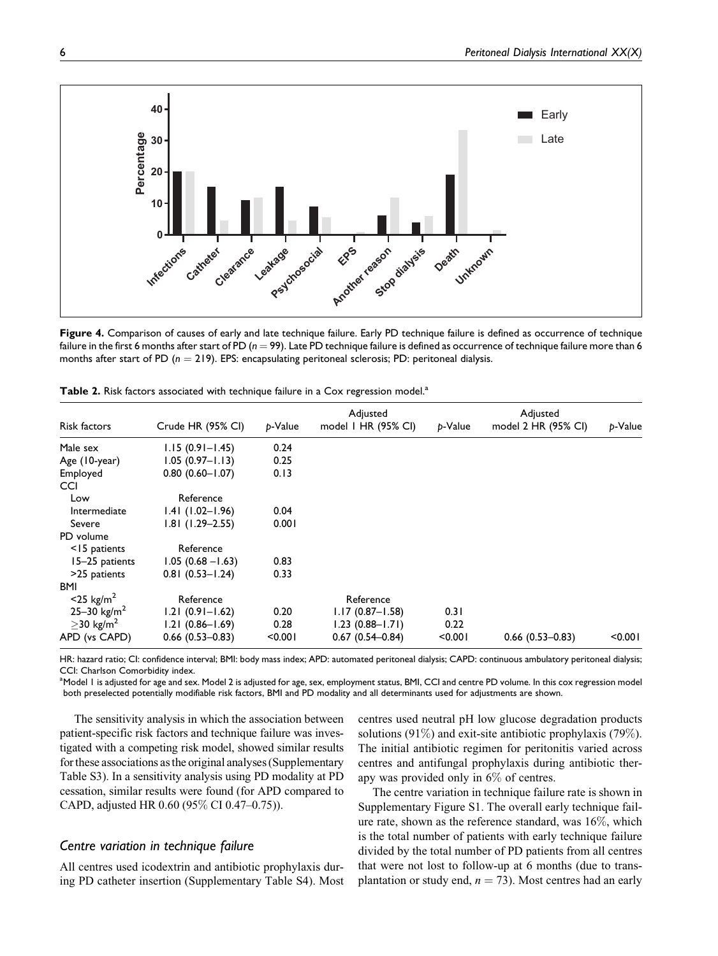

**Figure 4.** Comparison of causes of early and late technique failure. Early PD technique failure is defined as occurrence of technique failure in the first 6 months after start of PD ( $n = 99$ ). Late PD technique failure is defined as occurrence of technique failure more than 6 months after start of PD  $(n = 219)$ . EPS: encapsulating peritoneal sclerosis; PD: peritoneal dialysis.

| Risk factors                | Crude HR (95% CI)   | p-Value | Adjusted<br>model I HR (95% CI) | p-Value | Adjusted<br>model 2 HR (95% CI) | p-Value |
|-----------------------------|---------------------|---------|---------------------------------|---------|---------------------------------|---------|
| Male sex                    | $1.15(0.91 - 1.45)$ | 0.24    |                                 |         |                                 |         |
| Age (10-year)               | $1.05(0.97 - 1.13)$ | 0.25    |                                 |         |                                 |         |
| Employed                    | $0.80(0.60 - 1.07)$ | 0.13    |                                 |         |                                 |         |
| CCI                         |                     |         |                                 |         |                                 |         |
| Low                         | Reference           |         |                                 |         |                                 |         |
| Intermediate                | $1.41(1.02 - 1.96)$ | 0.04    |                                 |         |                                 |         |
| Severe                      | $1.81$ (1.29-2.55)  | 0.001   |                                 |         |                                 |         |
| PD volume                   |                     |         |                                 |         |                                 |         |
| <15 patients                | Reference           |         |                                 |         |                                 |         |
| 15–25 patients              | $1.05(0.68 - 1.63)$ | 0.83    |                                 |         |                                 |         |
| >25 patients                | $0.81(0.53 - 1.24)$ | 0.33    |                                 |         |                                 |         |
| <b>BMI</b>                  |                     |         |                                 |         |                                 |         |
| $<$ 25 kg/m <sup>2</sup>    | Reference           |         | Reference                       |         |                                 |         |
| 25-30 kg/m <sup>2</sup>     | $1.21(0.91 - 1.62)$ | 0.20    | $1.17(0.87 - 1.58)$             | 0.31    |                                 |         |
| $\geq$ 30 kg/m <sup>2</sup> | $1.21(0.86 - 1.69)$ | 0.28    | $1.23(0.88 - 1.71)$             | 0.22    |                                 |         |
| APD (vs CAPD)               | $0.66$ (0.53-0.83)  | < 0.001 | $0.67(0.54 - 0.84)$             | < 0.001 | $0.66(0.53 - 0.83)$             | < 0.001 |

| Table 2. Risk factors associated with technique failure in a Cox regression model. <sup>a</sup> |  |  |
|-------------------------------------------------------------------------------------------------|--|--|
|-------------------------------------------------------------------------------------------------|--|--|

HR: hazard ratio; CI: confidence interval; BMI: body mass index; APD: automated peritoneal dialysis; CAPD: continuous ambulatory peritoneal dialysis; CCI: Charlson Comorbidity index.

<sup>a</sup>Model I is adjusted for age and sex. Model 2 is adjusted for age, sex, employment status, BMI, CCI and centre PD volume. In this cox regression model<sup>3</sup> both preselected potentially modifiable risk factors, BMI and PD modality and all determinants used for adjustments are shown.

The sensitivity analysis in which the association between patient-specific risk factors and technique failure was investigated with a competing risk model, showed similar results for these associations as the original analyses (Supplementary Table S3). In a sensitivity analysis using PD modality at PD cessation, similar results were found (for APD compared to CAPD, adjusted HR 0.60 (95% CI 0.47–0.75)).

# *Centre variation in technique failure*

All centres used icodextrin and antibiotic prophylaxis during PD catheter insertion (Supplementary Table S4). Most centres used neutral pH low glucose degradation products solutions (91%) and exit-site antibiotic prophylaxis (79%). The initial antibiotic regimen for peritonitis varied across centres and antifungal prophylaxis during antibiotic therapy was provided only in 6% of centres.

The centre variation in technique failure rate is shown in Supplementary Figure S1. The overall early technique failure rate, shown as the reference standard, was 16%, which is the total number of patients with early technique failure divided by the total number of PD patients from all centres that were not lost to follow-up at 6 months (due to transplantation or study end,  $n = 73$ ). Most centres had an early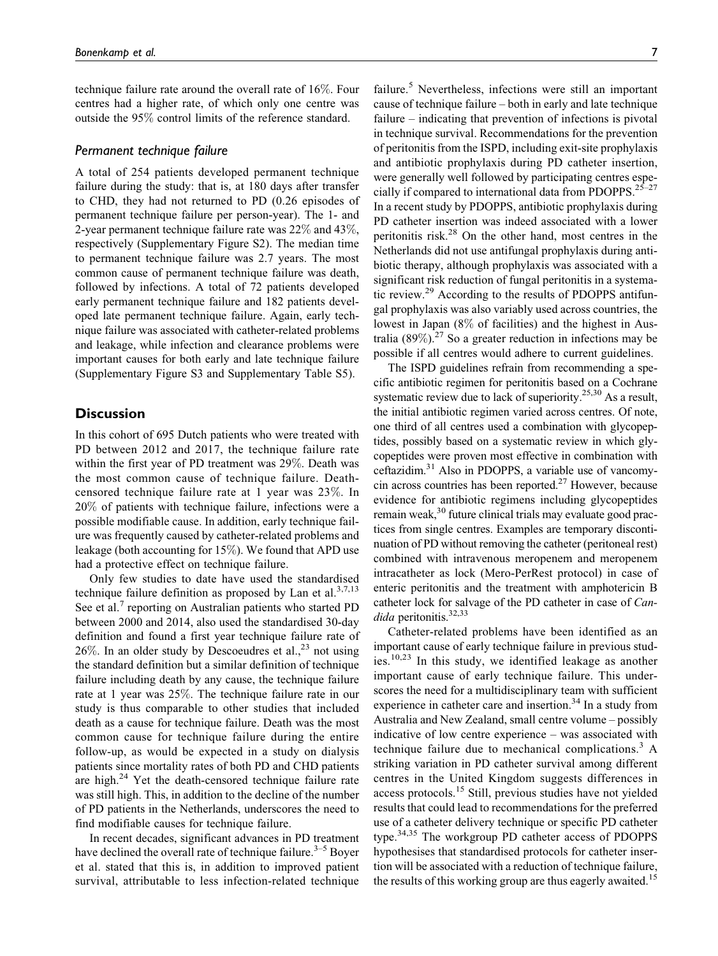technique failure rate around the overall rate of 16%. Four centres had a higher rate, of which only one centre was outside the 95% control limits of the reference standard.

## *Permanent technique failure*

A total of 254 patients developed permanent technique failure during the study: that is, at 180 days after transfer to CHD, they had not returned to PD (0.26 episodes of permanent technique failure per person-year). The 1- and 2-year permanent technique failure rate was 22% and 43%, respectively (Supplementary Figure S2). The median time to permanent technique failure was 2.7 years. The most common cause of permanent technique failure was death, followed by infections. A total of 72 patients developed early permanent technique failure and 182 patients developed late permanent technique failure. Again, early technique failure was associated with catheter-related problems and leakage, while infection and clearance problems were important causes for both early and late technique failure (Supplementary Figure S3 and Supplementary Table S5).

# **Discussion**

In this cohort of 695 Dutch patients who were treated with PD between 2012 and 2017, the technique failure rate within the first year of PD treatment was 29%. Death was the most common cause of technique failure. Deathcensored technique failure rate at 1 year was 23%. In 20% of patients with technique failure, infections were a possible modifiable cause. In addition, early technique failure was frequently caused by catheter-related problems and leakage (both accounting for 15%). We found that APD use had a protective effect on technique failure.

Only few studies to date have used the standardised technique failure definition as proposed by Lan et al.<sup>3,7,13</sup> See et al.<sup>7</sup> reporting on Australian patients who started PD between 2000 and 2014, also used the standardised 30-day definition and found a first year technique failure rate of 26%. In an older study by Descoeudres et al.,  $^{23}$  not using the standard definition but a similar definition of technique failure including death by any cause, the technique failure rate at 1 year was 25%. The technique failure rate in our study is thus comparable to other studies that included death as a cause for technique failure. Death was the most common cause for technique failure during the entire follow-up, as would be expected in a study on dialysis patients since mortality rates of both PD and CHD patients are high. $24$  Yet the death-censored technique failure rate was still high. This, in addition to the decline of the number of PD patients in the Netherlands, underscores the need to find modifiable causes for technique failure.

In recent decades, significant advances in PD treatment have declined the overall rate of technique failure. $3-5$  Boyer et al. stated that this is, in addition to improved patient survival, attributable to less infection-related technique

failure.<sup>5</sup> Nevertheless, infections were still an important cause of technique failure – both in early and late technique failure – indicating that prevention of infections is pivotal in technique survival. Recommendations for the prevention of peritonitis from the ISPD, including exit-site prophylaxis and antibiotic prophylaxis during PD catheter insertion, were generally well followed by participating centres especially if compared to international data from PDOPPS.<sup>25-27</sup> In a recent study by PDOPPS, antibiotic prophylaxis during PD catheter insertion was indeed associated with a lower peritonitis risk.<sup>28</sup> On the other hand, most centres in the Netherlands did not use antifungal prophylaxis during antibiotic therapy, although prophylaxis was associated with a significant risk reduction of fungal peritonitis in a systematic review.<sup>29</sup> According to the results of PDOPPS antifungal prophylaxis was also variably used across countries, the lowest in Japan (8% of facilities) and the highest in Australia (89%).<sup>27</sup> So a greater reduction in infections may be possible if all centres would adhere to current guidelines.

The ISPD guidelines refrain from recommending a specific antibiotic regimen for peritonitis based on a Cochrane systematic review due to lack of superiority.<sup>25,30</sup> As a result, the initial antibiotic regimen varied across centres. Of note, one third of all centres used a combination with glycopeptides, possibly based on a systematic review in which glycopeptides were proven most effective in combination with ceftazidim.31 Also in PDOPPS, a variable use of vancomycin across countries has been reported. $27$  However, because evidence for antibiotic regimens including glycopeptides remain weak, $30$  future clinical trials may evaluate good practices from single centres. Examples are temporary discontinuation of PD without removing the catheter (peritoneal rest) combined with intravenous meropenem and meropenem intracatheter as lock (Mero-PerRest protocol) in case of enteric peritonitis and the treatment with amphotericin B catheter lock for salvage of the PD catheter in case of Candida peritonitis.<sup>32,33</sup>

Catheter-related problems have been identified as an important cause of early technique failure in previous studies.<sup>10,23</sup> In this study, we identified leakage as another important cause of early technique failure. This underscores the need for a multidisciplinary team with sufficient experience in catheter care and insertion.<sup>34</sup> In a study from Australia and New Zealand, small centre volume – possibly indicative of low centre experience – was associated with technique failure due to mechanical complications.<sup>3</sup> A striking variation in PD catheter survival among different centres in the United Kingdom suggests differences in access protocols.<sup>15</sup> Still, previous studies have not yielded results that could lead to recommendations for the preferred use of a catheter delivery technique or specific PD catheter type.34,35 The workgroup PD catheter access of PDOPPS hypothesises that standardised protocols for catheter insertion will be associated with a reduction of technique failure, the results of this working group are thus eagerly awaited.<sup>15</sup>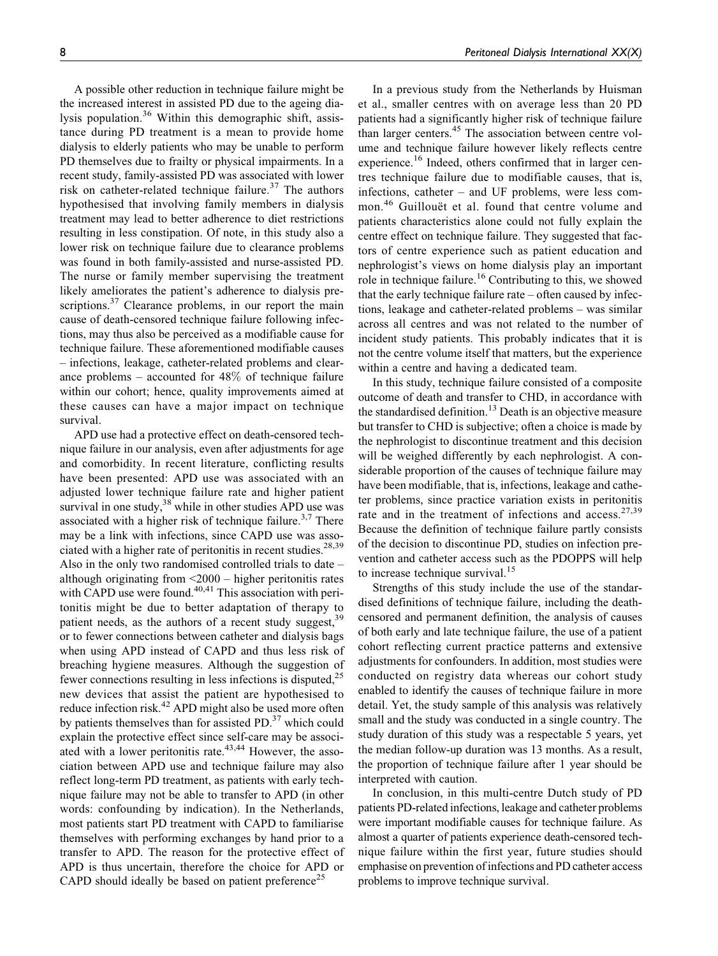A possible other reduction in technique failure might be the increased interest in assisted PD due to the ageing dialysis population.<sup>36</sup> Within this demographic shift, assistance during PD treatment is a mean to provide home dialysis to elderly patients who may be unable to perform PD themselves due to frailty or physical impairments. In a recent study, family-assisted PD was associated with lower risk on catheter-related technique failure.<sup>37</sup> The authors hypothesised that involving family members in dialysis treatment may lead to better adherence to diet restrictions resulting in less constipation. Of note, in this study also a lower risk on technique failure due to clearance problems was found in both family-assisted and nurse-assisted PD. The nurse or family member supervising the treatment likely ameliorates the patient's adherence to dialysis prescriptions.<sup>37</sup> Clearance problems, in our report the main cause of death-censored technique failure following infections, may thus also be perceived as a modifiable cause for technique failure. These aforementioned modifiable causes – infections, leakage, catheter-related problems and clearance problems – accounted for 48% of technique failure within our cohort; hence, quality improvements aimed at these causes can have a major impact on technique survival.

APD use had a protective effect on death-censored technique failure in our analysis, even after adjustments for age and comorbidity. In recent literature, conflicting results have been presented: APD use was associated with an adjusted lower technique failure rate and higher patient survival in one study,  $38$  while in other studies APD use was associated with a higher risk of technique failure.<sup>3,7</sup> There may be a link with infections, since CAPD use was associated with a higher rate of peritonitis in recent studies.<sup>28,39</sup> Also in the only two randomised controlled trials to date – although originating from <2000 – higher peritonitis rates with CAPD use were found. $40,41$  This association with peritonitis might be due to better adaptation of therapy to patient needs, as the authors of a recent study suggest,  $39$ or to fewer connections between catheter and dialysis bags when using APD instead of CAPD and thus less risk of breaching hygiene measures. Although the suggestion of fewer connections resulting in less infections is disputed,  $2<sup>5</sup>$ new devices that assist the patient are hypothesised to reduce infection risk.<sup>42</sup> APD might also be used more often by patients themselves than for assisted  $PD$ .<sup>37</sup> which could explain the protective effect since self-care may be associated with a lower peritonitis rate.<sup>43,44</sup> However, the association between APD use and technique failure may also reflect long-term PD treatment, as patients with early technique failure may not be able to transfer to APD (in other words: confounding by indication). In the Netherlands, most patients start PD treatment with CAPD to familiarise themselves with performing exchanges by hand prior to a transfer to APD. The reason for the protective effect of APD is thus uncertain, therefore the choice for APD or CAPD should ideally be based on patient preference<sup>25</sup>

In a previous study from the Netherlands by Huisman et al., smaller centres with on average less than 20 PD patients had a significantly higher risk of technique failure than larger centers.<sup>45</sup> The association between centre volume and technique failure however likely reflects centre experience.<sup>16</sup> Indeed, others confirmed that in larger centres technique failure due to modifiable causes, that is, infections, catheter – and UF problems, were less common.<sup>46</sup> Guillouët et al. found that centre volume and patients characteristics alone could not fully explain the centre effect on technique failure. They suggested that factors of centre experience such as patient education and nephrologist's views on home dialysis play an important role in technique failure.<sup>16</sup> Contributing to this, we showed that the early technique failure rate – often caused by infections, leakage and catheter-related problems – was similar across all centres and was not related to the number of incident study patients. This probably indicates that it is not the centre volume itself that matters, but the experience within a centre and having a dedicated team.

In this study, technique failure consisted of a composite outcome of death and transfer to CHD, in accordance with the standardised definition.<sup>13</sup> Death is an objective measure but transfer to CHD is subjective; often a choice is made by the nephrologist to discontinue treatment and this decision will be weighed differently by each nephrologist. A considerable proportion of the causes of technique failure may have been modifiable, that is, infections, leakage and catheter problems, since practice variation exists in peritonitis rate and in the treatment of infections and access. $27,39$ Because the definition of technique failure partly consists of the decision to discontinue PD, studies on infection prevention and catheter access such as the PDOPPS will help to increase technique survival. $15$ 

Strengths of this study include the use of the standardised definitions of technique failure, including the deathcensored and permanent definition, the analysis of causes of both early and late technique failure, the use of a patient cohort reflecting current practice patterns and extensive adjustments for confounders. In addition, most studies were conducted on registry data whereas our cohort study enabled to identify the causes of technique failure in more detail. Yet, the study sample of this analysis was relatively small and the study was conducted in a single country. The study duration of this study was a respectable 5 years, yet the median follow-up duration was 13 months. As a result, the proportion of technique failure after 1 year should be interpreted with caution.

In conclusion, in this multi-centre Dutch study of PD patients PD-related infections, leakage and catheter problems were important modifiable causes for technique failure. As almost a quarter of patients experience death-censored technique failure within the first year, future studies should emphasise on prevention of infections and PD catheter access problems to improve technique survival.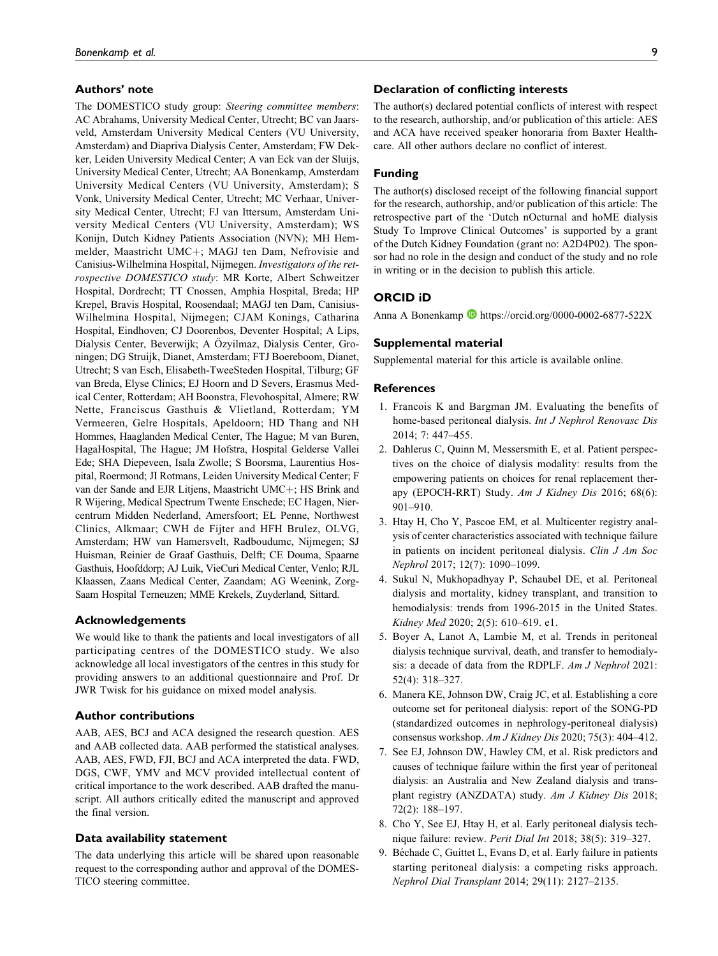### **Authors' note**

The DOMESTICO study group: Steering committee members: AC Abrahams, University Medical Center, Utrecht; BC van Jaarsveld, Amsterdam University Medical Centers (VU University, Amsterdam) and Diapriva Dialysis Center, Amsterdam; FW Dekker, Leiden University Medical Center; A van Eck van der Sluijs, University Medical Center, Utrecht; AA Bonenkamp, Amsterdam University Medical Centers (VU University, Amsterdam); S Vonk, University Medical Center, Utrecht; MC Verhaar, University Medical Center, Utrecht; FJ van Ittersum, Amsterdam University Medical Centers (VU University, Amsterdam); WS Konijn, Dutch Kidney Patients Association (NVN); MH Hemmelder, Maastricht UMC+; MAGJ ten Dam, Nefrovisie and Canisius-Wilhelmina Hospital, Nijmegen. Investigators of the retrospective DOMESTICO study: MR Korte, Albert Schweitzer Hospital, Dordrecht; TT Cnossen, Amphia Hospital, Breda; HP Krepel, Bravis Hospital, Roosendaal; MAGJ ten Dam, Canisius-Wilhelmina Hospital, Nijmegen; CJAM Konings, Catharina Hospital, Eindhoven; CJ Doorenbos, Deventer Hospital; A Lips, Dialysis Center, Beverwijk; A Özyilmaz, Dialysis Center, Groningen; DG Struijk, Dianet, Amsterdam; FTJ Boereboom, Dianet, Utrecht; S van Esch, Elisabeth-TweeSteden Hospital, Tilburg; GF van Breda, Elyse Clinics; EJ Hoorn and D Severs, Erasmus Medical Center, Rotterdam; AH Boonstra, Flevohospital, Almere; RW Nette, Franciscus Gasthuis & Vlietland, Rotterdam; YM Vermeeren, Gelre Hospitals, Apeldoorn; HD Thang and NH Hommes, Haaglanden Medical Center, The Hague; M van Buren, HagaHospital, The Hague; JM Hofstra, Hospital Gelderse Vallei Ede; SHA Diepeveen, Isala Zwolle; S Boorsma, Laurentius Hospital, Roermond; JI Rotmans, Leiden University Medical Center; F van der Sande and EJR Litjens, Maastricht UMC+; HS Brink and R Wijering, Medical Spectrum Twente Enschede; EC Hagen, Niercentrum Midden Nederland, Amersfoort; EL Penne, Northwest Clinics, Alkmaar; CWH de Fijter and HFH Brulez, OLVG, Amsterdam; HW van Hamersvelt, Radboudumc, Nijmegen; SJ Huisman, Reinier de Graaf Gasthuis, Delft; CE Douma, Spaarne Gasthuis, Hoofddorp; AJ Luik, VieCuri Medical Center, Venlo; RJL Klaassen, Zaans Medical Center, Zaandam; AG Weenink, Zorg-Saam Hospital Terneuzen; MME Krekels, Zuyderland, Sittard.

#### **Acknowledgements**

We would like to thank the patients and local investigators of all participating centres of the DOMESTICO study. We also acknowledge all local investigators of the centres in this study for providing answers to an additional questionnaire and Prof. Dr JWR Twisk for his guidance on mixed model analysis.

### **Author contributions**

AAB, AES, BCJ and ACA designed the research question. AES and AAB collected data. AAB performed the statistical analyses. AAB, AES, FWD, FJI, BCJ and ACA interpreted the data. FWD, DGS, CWF, YMV and MCV provided intellectual content of critical importance to the work described. AAB drafted the manuscript. All authors critically edited the manuscript and approved the final version.

### **Data availability statement**

The data underlying this article will be shared upon reasonable request to the corresponding author and approval of the DOMES-TICO steering committee.

### **Declaration of conflicting interests**

The author(s) declared potential conflicts of interest with respect to the research, authorship, and/or publication of this article: AES and ACA have received speaker honoraria from Baxter Healthcare. All other authors declare no conflict of interest.

### **Funding**

The author(s) disclosed receipt of the following financial support for the research, authorship, and/or publication of this article: The retrospective part of the 'Dutch nOcturnal and hoME dialysis Study To Improve Clinical Outcomes' is supported by a grant of the Dutch Kidney Foundation (grant no: A2D4P02). The sponsor had no role in the design and conduct of the study and no role in writing or in the decision to publish this article.

### **ORCID iD**

Anna A Bonenkamp **b** <https://orcid.org/0000-0002-6877-522X>

#### **Supplemental material**

Supplemental material for this article is available online.

#### **References**

- 1. Francois K and Bargman JM. Evaluating the benefits of home-based peritoneal dialysis. Int J Nephrol Renovasc Dis 2014; 7: 447–455.
- 2. Dahlerus C, Quinn M, Messersmith E, et al. Patient perspectives on the choice of dialysis modality: results from the empowering patients on choices for renal replacement therapy (EPOCH-RRT) Study. Am J Kidney Dis 2016; 68(6): 901–910.
- 3. Htay H, Cho Y, Pascoe EM, et al. Multicenter registry analysis of center characteristics associated with technique failure in patients on incident peritoneal dialysis. Clin J Am Soc Nephrol 2017; 12(7): 1090–1099.
- 4. Sukul N, Mukhopadhyay P, Schaubel DE, et al. Peritoneal dialysis and mortality, kidney transplant, and transition to hemodialysis: trends from 1996-2015 in the United States. Kidney Med 2020; 2(5): 610–619. e1.
- 5. Boyer A, Lanot A, Lambie M, et al. Trends in peritoneal dialysis technique survival, death, and transfer to hemodialysis: a decade of data from the RDPLF. Am J Nephrol 2021: 52(4): 318–327.
- 6. Manera KE, Johnson DW, Craig JC, et al. Establishing a core outcome set for peritoneal dialysis: report of the SONG-PD (standardized outcomes in nephrology-peritoneal dialysis) consensus workshop. Am J Kidney Dis 2020; 75(3): 404–412.
- 7. See EJ, Johnson DW, Hawley CM, et al. Risk predictors and causes of technique failure within the first year of peritoneal dialysis: an Australia and New Zealand dialysis and transplant registry (ANZDATA) study. Am J Kidney Dis 2018; 72(2): 188–197.
- 8. Cho Y, See EJ, Htay H, et al. Early peritoneal dialysis technique failure: review. Perit Dial Int 2018; 38(5): 319–327.
- 9. Béchade C, Guittet L, Evans D, et al. Early failure in patients starting peritoneal dialysis: a competing risks approach. Nephrol Dial Transplant 2014; 29(11): 2127–2135.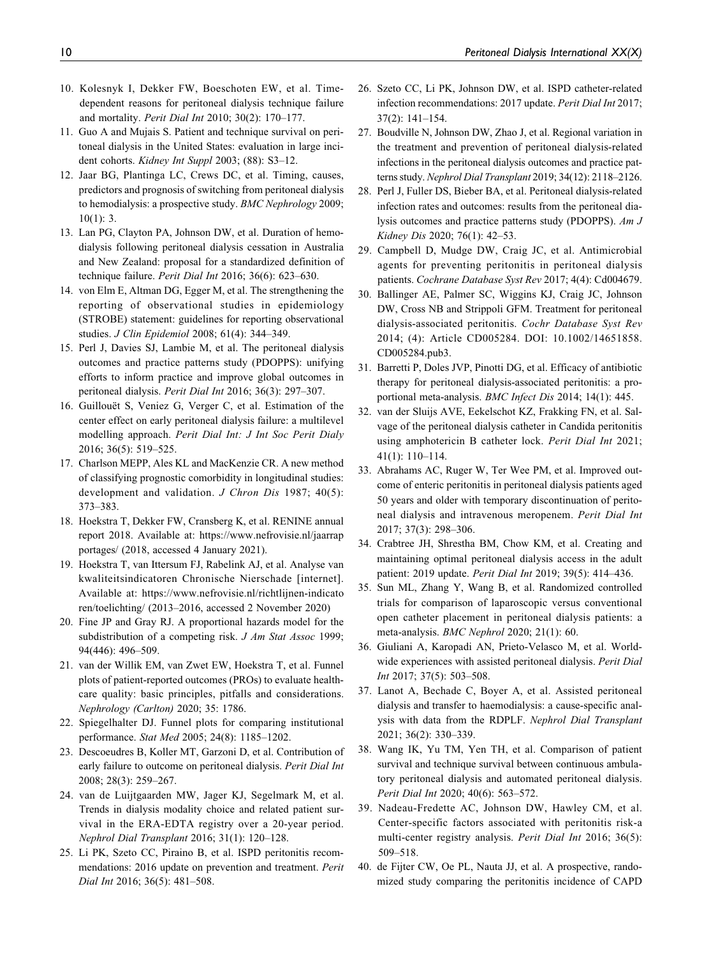- 10. Kolesnyk I, Dekker FW, Boeschoten EW, et al. Timedependent reasons for peritoneal dialysis technique failure and mortality. Perit Dial Int 2010; 30(2): 170–177.
- 11. Guo A and Mujais S. Patient and technique survival on peritoneal dialysis in the United States: evaluation in large incident cohorts. Kidney Int Suppl 2003; (88): S3-12.
- 12. Jaar BG, Plantinga LC, Crews DC, et al. Timing, causes, predictors and prognosis of switching from peritoneal dialysis to hemodialysis: a prospective study. BMC Nephrology 2009;  $10(1)$ : 3.
- 13. Lan PG, Clayton PA, Johnson DW, et al. Duration of hemodialysis following peritoneal dialysis cessation in Australia and New Zealand: proposal for a standardized definition of technique failure. Perit Dial Int 2016; 36(6): 623–630.
- 14. von Elm E, Altman DG, Egger M, et al. The strengthening the reporting of observational studies in epidemiology (STROBE) statement: guidelines for reporting observational studies. J Clin Epidemiol 2008; 61(4): 344–349.
- 15. Perl J, Davies SJ, Lambie M, et al. The peritoneal dialysis outcomes and practice patterns study (PDOPPS): unifying efforts to inform practice and improve global outcomes in peritoneal dialysis. Perit Dial Int 2016; 36(3): 297–307.
- 16. Guillouët S, Veniez G, Verger C, et al. Estimation of the center effect on early peritoneal dialysis failure: a multilevel modelling approach. Perit Dial Int: J Int Soc Perit Dialy 2016; 36(5): 519–525.
- 17. Charlson MEPP, Ales KL and MacKenzie CR. A new method of classifying prognostic comorbidity in longitudinal studies: development and validation. J Chron Dis 1987; 40(5): 373–383.
- 18. Hoekstra T, Dekker FW, Cransberg K, et al. RENINE annual report 2018. Available at: [https://www.nefrovisie.nl/jaarrap](https://www.nefrovisie.nl/jaarrapportages/) [portages/](https://www.nefrovisie.nl/jaarrapportages/) (2018, accessed 4 January 2021).
- 19. Hoekstra T, van Ittersum FJ, Rabelink AJ, et al. Analyse van kwaliteitsindicatoren Chronische Nierschade [internet]. Available at: [https://www.nefrovisie.nl/richtlijnen-indicato](https://www.nefrovisie.nl/richtlijnen-indicatoren/toelichting/) [ren/toelichting/](https://www.nefrovisie.nl/richtlijnen-indicatoren/toelichting/) (2013–2016, accessed 2 November 2020)
- 20. Fine JP and Gray RJ. A proportional hazards model for the subdistribution of a competing risk. J Am Stat Assoc 1999; 94(446): 496–509.
- 21. van der Willik EM, van Zwet EW, Hoekstra T, et al. Funnel plots of patient-reported outcomes (PROs) to evaluate healthcare quality: basic principles, pitfalls and considerations. Nephrology (Carlton) 2020; 35: 1786.
- 22. Spiegelhalter DJ. Funnel plots for comparing institutional performance. Stat Med 2005; 24(8): 1185–1202.
- 23. Descoeudres B, Koller MT, Garzoni D, et al. Contribution of early failure to outcome on peritoneal dialysis. Perit Dial Int 2008; 28(3): 259–267.
- 24. van de Luijtgaarden MW, Jager KJ, Segelmark M, et al. Trends in dialysis modality choice and related patient survival in the ERA-EDTA registry over a 20-year period. Nephrol Dial Transplant 2016; 31(1): 120–128.
- 25. Li PK, Szeto CC, Piraino B, et al. ISPD peritonitis recommendations: 2016 update on prevention and treatment. Perit Dial Int 2016; 36(5): 481–508.
- 26. Szeto CC, Li PK, Johnson DW, et al. ISPD catheter-related infection recommendations: 2017 update. Perit Dial Int 2017; 37(2): 141–154.
- 27. Boudville N, Johnson DW, Zhao J, et al. Regional variation in the treatment and prevention of peritoneal dialysis-related infections in the peritoneal dialysis outcomes and practice patterns study. Nephrol Dial Transplant 2019; 34(12): 2118–2126.
- 28. Perl J, Fuller DS, Bieber BA, et al. Peritoneal dialysis-related infection rates and outcomes: results from the peritoneal dialysis outcomes and practice patterns study (PDOPPS). Am J Kidney Dis 2020; 76(1): 42–53.
- 29. Campbell D, Mudge DW, Craig JC, et al. Antimicrobial agents for preventing peritonitis in peritoneal dialysis patients. Cochrane Database Syst Rev 2017; 4(4): Cd004679.
- 30. Ballinger AE, Palmer SC, Wiggins KJ, Craig JC, Johnson DW, Cross NB and Strippoli GFM. Treatment for peritoneal dialysis-associated peritonitis. Cochr Database Syst Rev 2014; (4): Article CD005284. DOI: 10.1002/14651858. CD005284.pub3.
- 31. Barretti P, Doles JVP, Pinotti DG, et al. Efficacy of antibiotic therapy for peritoneal dialysis-associated peritonitis: a proportional meta-analysis. BMC Infect Dis 2014; 14(1): 445.
- 32. van der Sluijs AVE, Eekelschot KZ, Frakking FN, et al. Salvage of the peritoneal dialysis catheter in Candida peritonitis using amphotericin B catheter lock. Perit Dial Int 2021; 41(1): 110–114.
- 33. Abrahams AC, Ruger W, Ter Wee PM, et al. Improved outcome of enteric peritonitis in peritoneal dialysis patients aged 50 years and older with temporary discontinuation of peritoneal dialysis and intravenous meropenem. Perit Dial Int 2017; 37(3): 298–306.
- 34. Crabtree JH, Shrestha BM, Chow KM, et al. Creating and maintaining optimal peritoneal dialysis access in the adult patient: 2019 update. Perit Dial Int 2019; 39(5): 414–436.
- 35. Sun ML, Zhang Y, Wang B, et al. Randomized controlled trials for comparison of laparoscopic versus conventional open catheter placement in peritoneal dialysis patients: a meta-analysis. BMC Nephrol 2020; 21(1): 60.
- 36. Giuliani A, Karopadi AN, Prieto-Velasco M, et al. Worldwide experiences with assisted peritoneal dialysis. Perit Dial Int 2017; 37(5): 503–508.
- 37. Lanot A, Bechade C, Boyer A, et al. Assisted peritoneal dialysis and transfer to haemodialysis: a cause-specific analysis with data from the RDPLF. Nephrol Dial Transplant 2021; 36(2): 330–339.
- 38. Wang IK, Yu TM, Yen TH, et al. Comparison of patient survival and technique survival between continuous ambulatory peritoneal dialysis and automated peritoneal dialysis. Perit Dial Int 2020; 40(6): 563–572.
- 39. Nadeau-Fredette AC, Johnson DW, Hawley CM, et al. Center-specific factors associated with peritonitis risk-a multi-center registry analysis. Perit Dial Int 2016; 36(5): 509–518.
- 40. de Fijter CW, Oe PL, Nauta JJ, et al. A prospective, randomized study comparing the peritonitis incidence of CAPD